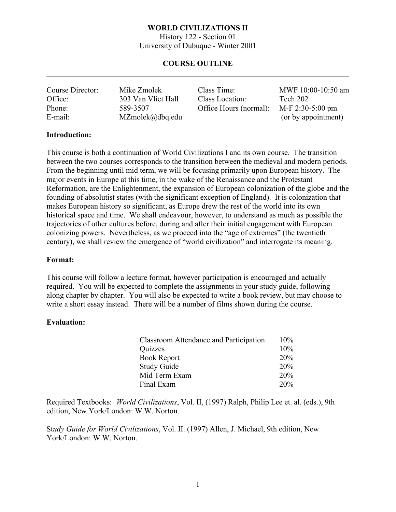History 122 - Section 01 University of Dubuque - Winter 2001

## **COURSE OUTLINE**   $\mathcal{L}_\mathcal{L} = \mathcal{L}_\mathcal{L} = \mathcal{L}_\mathcal{L} = \mathcal{L}_\mathcal{L} = \mathcal{L}_\mathcal{L} = \mathcal{L}_\mathcal{L} = \mathcal{L}_\mathcal{L} = \mathcal{L}_\mathcal{L} = \mathcal{L}_\mathcal{L} = \mathcal{L}_\mathcal{L} = \mathcal{L}_\mathcal{L} = \mathcal{L}_\mathcal{L} = \mathcal{L}_\mathcal{L} = \mathcal{L}_\mathcal{L} = \mathcal{L}_\mathcal{L} = \mathcal{L}_\mathcal{L} = \mathcal{L}_\mathcal{L}$

| Course Director: | Mike Zmolek                  | Class Time:            | MWF 10:00-10:50 am  |
|------------------|------------------------------|------------------------|---------------------|
| Office:          | 303 Van Vliet Hall           | Class Location:        | Tech 202            |
| Phone:           | 589-3507                     | Office Hours (normal): | $M-F$ 2:30-5:00 pm  |
| E-mail:          | $MZmolek(\partial_d bq.edu)$ |                        | (or by appointment) |

### **Introduction:**

This course is both a continuation of World Civilizations I and its own course. The transition between the two courses corresponds to the transition between the medieval and modern periods. From the beginning until mid term, we will be focusing primarily upon European history. The major events in Europe at this time, in the wake of the Renaissance and the Protestant Reformation, are the Enlightenment, the expansion of European colonization of the globe and the founding of absolutist states (with the significant exception of England). It is colonization that makes European history so significant, as Europe drew the rest of the world into its own historical space and time. We shall endeavour, however, to understand as much as possible the trajectories of other cultures before, during and after their initial engagement with European colonizing powers. Nevertheless, as we proceed into the "age of extremes" (the twentieth century), we shall review the emergence of "world civilization" and interrogate its meaning.

#### **Format:**

This course will follow a lecture format, however participation is encouraged and actually required. You will be expected to complete the assignments in your study guide, following along chapter by chapter. You will also be expected to write a book review, but may choose to write a short essay instead. There will be a number of films shown during the course.

### **Evaluation:**

| <b>Classroom Attendance and Participation</b> | $10\%$ |  |
|-----------------------------------------------|--------|--|
| Quizzes                                       | 10%    |  |
| <b>Book Report</b>                            | 20%    |  |
| <b>Study Guide</b>                            | 20%    |  |
| Mid Term Exam                                 | 20%    |  |
| Final Exam                                    | 20%    |  |

Required Textbooks: *World Civilizations*, Vol. II, (1997) Ralph, Philip Lee et. al. (eds.), 9th edition, New York/London: W.W. Norton.

St*udy Guide for World Civilizations*, Vol. II. (1997) Allen, J. Michael, 9th edition, New York/London: W.W. Norton.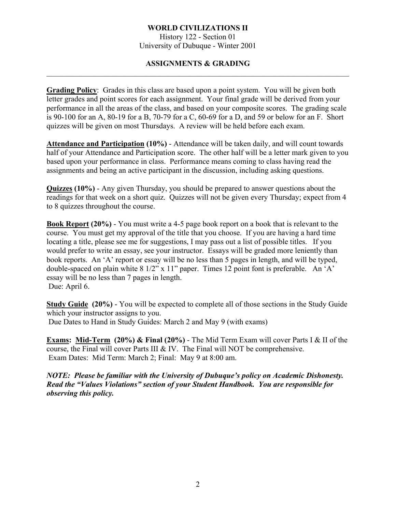History 122 - Section 01 University of Dubuque - Winter 2001

### **ASSIGNMENTS & GRADING**   $\mathcal{L}_\mathcal{L} = \mathcal{L}_\mathcal{L} = \mathcal{L}_\mathcal{L} = \mathcal{L}_\mathcal{L} = \mathcal{L}_\mathcal{L} = \mathcal{L}_\mathcal{L} = \mathcal{L}_\mathcal{L} = \mathcal{L}_\mathcal{L} = \mathcal{L}_\mathcal{L} = \mathcal{L}_\mathcal{L} = \mathcal{L}_\mathcal{L} = \mathcal{L}_\mathcal{L} = \mathcal{L}_\mathcal{L} = \mathcal{L}_\mathcal{L} = \mathcal{L}_\mathcal{L} = \mathcal{L}_\mathcal{L} = \mathcal{L}_\mathcal{L}$

**Grading Policy**: Grades in this class are based upon a point system. You will be given both letter grades and point scores for each assignment. Your final grade will be derived from your performance in all the areas of the class, and based on your composite scores. The grading scale is 90-100 for an A, 80-19 for a B, 70-79 for a C, 60-69 for a D, and 59 or below for an F. Short quizzes will be given on most Thursdays. A review will be held before each exam.

**Attendance and Participation (10%)** - Attendance will be taken daily, and will count towards half of your Attendance and Participation score. The other half will be a letter mark given to you based upon your performance in class. Performance means coming to class having read the assignments and being an active participant in the discussion, including asking questions.

**Quizzes (10%)** - Any given Thursday, you should be prepared to answer questions about the readings for that week on a short quiz. Quizzes will not be given every Thursday; expect from 4 to 8 quizzes throughout the course.

**Book Report (20%)** - You must write a 4-5 page book report on a book that is relevant to the course. You must get my approval of the title that you choose. If you are having a hard time locating a title, please see me for suggestions, I may pass out a list of possible titles. If you would prefer to write an essay, see your instructor. Essays will be graded more leniently than book reports. An 'A' report or essay will be no less than 5 pages in length, and will be typed, double-spaced on plain white  $8\frac{1}{2}$ " x  $11$ " paper. Times 12 point font is preferable. An 'A' essay will be no less than 7 pages in length. Due: April 6.

**Study Guide (20%)** - You will be expected to complete all of those sections in the Study Guide which your instructor assigns to you. Due Dates to Hand in Study Guides: March 2 and May 9 (with exams)

**Exams: Mid-Term (20%) & Final (20%)** - The Mid Term Exam will cover Parts I & II of the course, the Final will cover Parts III & IV. The Final will NOT be comprehensive. Exam Dates: Mid Term: March 2; Final: May 9 at 8:00 am.

*NOTE: Please be familiar with the University of Dubuque's policy on Academic Dishonesty. Read the "Values Violations" section of your Student Handbook. You are responsible for observing this policy.*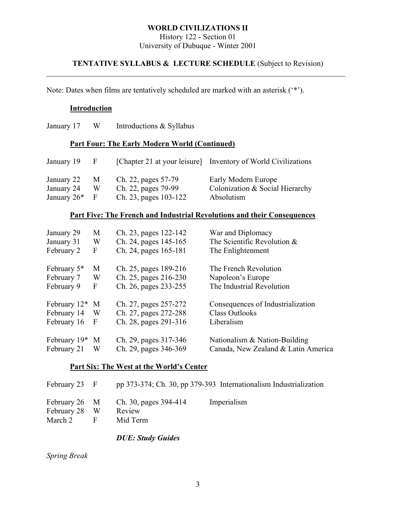History 122 - Section 01 University of Dubuque - Winter 2001

## **TENTATIVE SYLLABUS & LECTURE SCHEDULE** (Subject to Revision)  $\mathcal{L}_\mathcal{L} = \{ \mathcal{L}_\mathcal{L} = \{ \mathcal{L}_\mathcal{L} = \{ \mathcal{L}_\mathcal{L} = \{ \mathcal{L}_\mathcal{L} = \{ \mathcal{L}_\mathcal{L} = \{ \mathcal{L}_\mathcal{L} = \{ \mathcal{L}_\mathcal{L} = \{ \mathcal{L}_\mathcal{L} = \{ \mathcal{L}_\mathcal{L} = \{ \mathcal{L}_\mathcal{L} = \{ \mathcal{L}_\mathcal{L} = \{ \mathcal{L}_\mathcal{L} = \{ \mathcal{L}_\mathcal{L} = \{ \mathcal{L}_\mathcal{$

Note: Dates when films are tentatively scheduled are marked with an asterisk ('\*').

#### **Introduction**

January 17 W Introductions & Syllabus

#### **Part Four: The Early Modern World (Continued)**

| January 19               | - F -  |                                            | [Chapter 21 at your leisure] Inventory of World Civilizations |
|--------------------------|--------|--------------------------------------------|---------------------------------------------------------------|
| January 22<br>January 24 | M<br>W | Ch. 22, pages 57-79<br>Ch. 22, pages 79-99 | Early Modern Europe<br>Colonization & Social Hierarchy        |
| January $26*$            |        | Ch. 23, pages 103-122                      | Absolutism                                                    |

#### **Part Five: The French and Industrial Revolutions and their Consequences**

| January 29        | M              | Ch. 23, pages 122-142 | War and Diplomacy                   |
|-------------------|----------------|-----------------------|-------------------------------------|
| January 31        | W              | Ch. 24, pages 145-165 | The Scientific Revolution &         |
| February 2        | F              | Ch. 24, pages 165-181 | The Enlightenment                   |
| February $5*$     | M              | Ch. 25, pages 189-216 | The French Revolution               |
| February 7        | W              | Ch. 25, pages 216-230 | Napoleon's Europe                   |
| February 9        | $\mathbf{F}$   | Ch. 26, pages 233-255 | The Industrial Revolution           |
| February $12^*$ M | - W            | Ch. 27, pages 257-272 | Consequences of Industrialization   |
| February 14       |                | Ch. 27, pages 272-288 | <b>Class Outlooks</b>               |
| February 16       | $\overline{F}$ | Ch. 28, pages 291-316 | Liberalism                          |
| February 19* M    | W              | Ch. 29, pages 317-346 | Nationalism & Nation-Building       |
| February 21       |                | Ch. 29, pages 346-369 | Canada, New Zealand & Latin America |

#### **Part Six: The West at the World's Center**

| February 23 F            |    |                                                                     | pp 373-374; Ch. 30, pp 379-393 Internationalism Industrialization |
|--------------------------|----|---------------------------------------------------------------------|-------------------------------------------------------------------|
| February 28 W<br>March 2 | Е. | February 26 $\,$ M $\,$ Ch. 30, pages 394-414<br>Review<br>Mid Term | Imperialism                                                       |

### *DUE: Study Guides*

*Spring Break*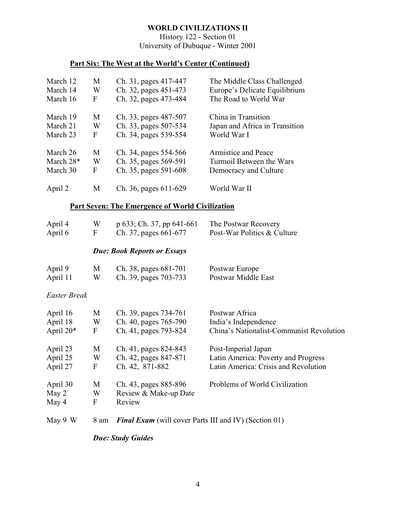History 122 - Section 01 University of Dubuque - Winter 2001

# **Part Six: The West at the World's Center (Continued)**

| March 12    | M | Ch. 31, pages 417-447 | The Middle Class Challenged    |
|-------------|---|-----------------------|--------------------------------|
| March 14    | W | Ch. 32, pages 451-473 | Europe's Delicate Equilibrium  |
| March 16    | F | Ch. 32, pages 473-484 | The Road to World War          |
| March 19    | M | Ch. 33, pages 487-507 | China in Transition            |
| March 21    | W | Ch. 33, pages 507-534 | Japan and Africa in Transition |
| March 23    | F | Ch. 34, pages 539-554 | World War I                    |
| March 26    | M | Ch. 34, pages 554-566 | <b>Armistice and Peace</b>     |
| March $28*$ | W | Ch. 35, pages 569-591 | Turmoil Between the Wars       |
| March 30    | F | Ch. 35, pages 591-608 | Democracy and Culture          |
| April 2     | M | Ch. 36, pages 611-629 | World War II                   |

# **Part Seven: The Emergence of World Civilization**

| April 4             | W                | p 633; Ch. 37, pp 641-661                                    | The Postwar Recovery                     |
|---------------------|------------------|--------------------------------------------------------------|------------------------------------------|
| April 6             | F                | Ch. 37, pages 661-677                                        | Post-War Politics & Culture              |
|                     |                  | <b>Due: Book Reports or Essays</b>                           |                                          |
| April 9             | M                | Ch. 38, pages 681-701                                        | Postwar Europe                           |
| April 11            | W                | Ch. 39, pages 703-733                                        | Postwar Middle East                      |
| <b>Easter Break</b> |                  |                                                              |                                          |
| April 16            | M                | Ch. 39, pages 734-761                                        | Postwar Africa                           |
| April 18            | W                | Ch. 40, pages 765-790                                        | India's Independence                     |
| April 20*           | $\boldsymbol{F}$ | Ch. 41, pages 793-824                                        | China's Nationalist-Communist Revolution |
| April 23            | M                | Ch. 41, pages 824-843                                        | Post-Imperial Japan                      |
| April 25            | W                | Ch. 42, pages 847-871                                        | Latin America: Poverty and Progress      |
| April 27            | ${\bf F}$        | Ch. 42, 871-882                                              | Latin America: Crisis and Revolution     |
| April 30            | M                | Ch. 43, pages 885-896                                        | Problems of World Civilization           |
| May 2               | W                | Review & Make-up Date                                        |                                          |
| May 4               | F                | Review                                                       |                                          |
| May 9 W             | 8 am             | <b>Final Exam</b> (will cover Parts III and IV) (Section 01) |                                          |
|                     |                  |                                                              |                                          |

*Due: Study Guides*